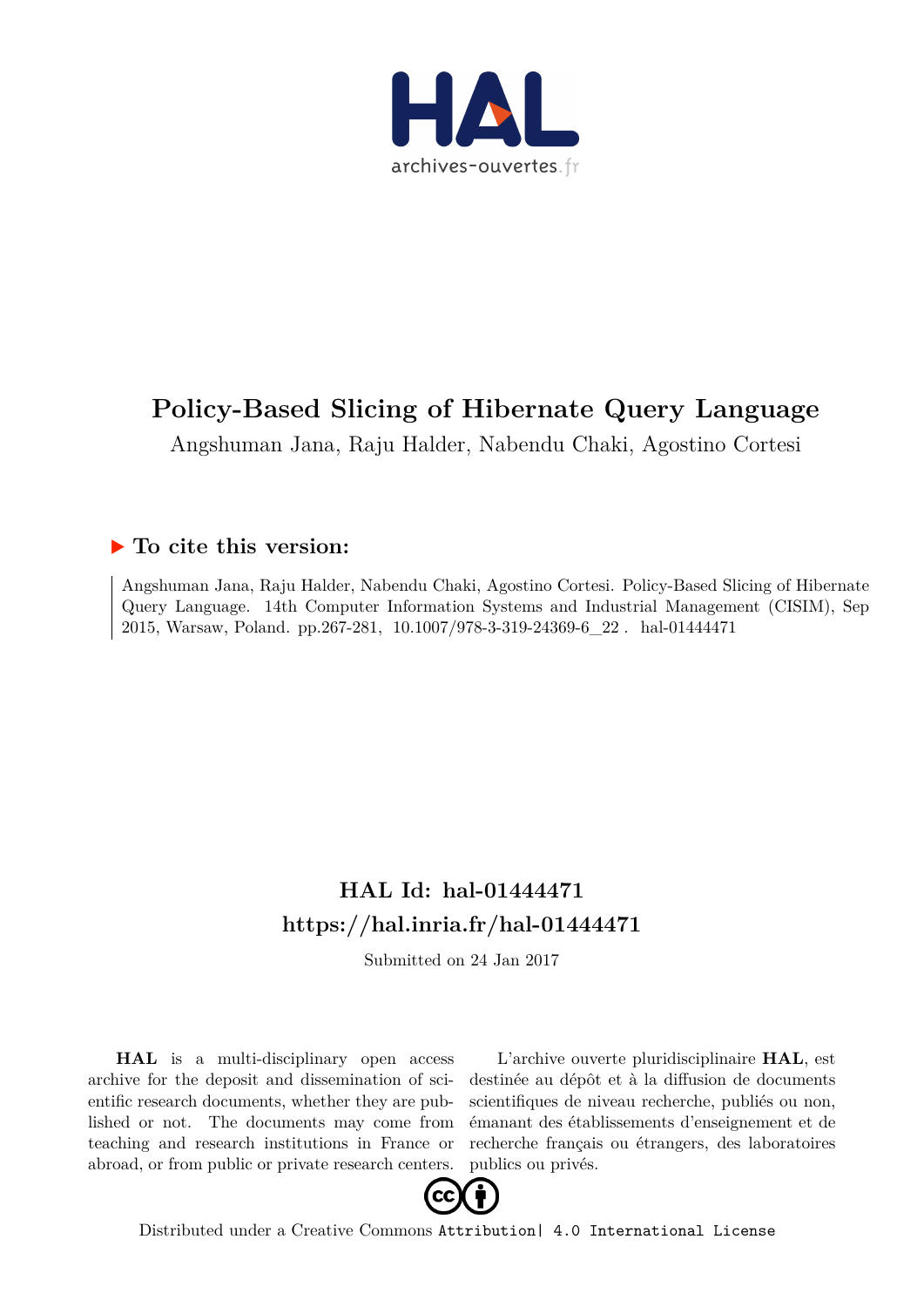

# **Policy-Based Slicing of Hibernate Query Language**

Angshuman Jana, Raju Halder, Nabendu Chaki, Agostino Cortesi

## **To cite this version:**

Angshuman Jana, Raju Halder, Nabendu Chaki, Agostino Cortesi. Policy-Based Slicing of Hibernate Query Language. 14th Computer Information Systems and Industrial Management (CISIM), Sep 2015, Warsaw, Poland. pp.267-281, 10.1007/978-3-319-24369-6\_22. hal-01444471

## **HAL Id: hal-01444471 <https://hal.inria.fr/hal-01444471>**

Submitted on 24 Jan 2017

**HAL** is a multi-disciplinary open access archive for the deposit and dissemination of scientific research documents, whether they are published or not. The documents may come from teaching and research institutions in France or abroad, or from public or private research centers.

L'archive ouverte pluridisciplinaire **HAL**, est destinée au dépôt et à la diffusion de documents scientifiques de niveau recherche, publiés ou non, émanant des établissements d'enseignement et de recherche français ou étrangers, des laboratoires publics ou privés.



Distributed under a Creative Commons [Attribution| 4.0 International License](http://creativecommons.org/licenses/by/4.0/)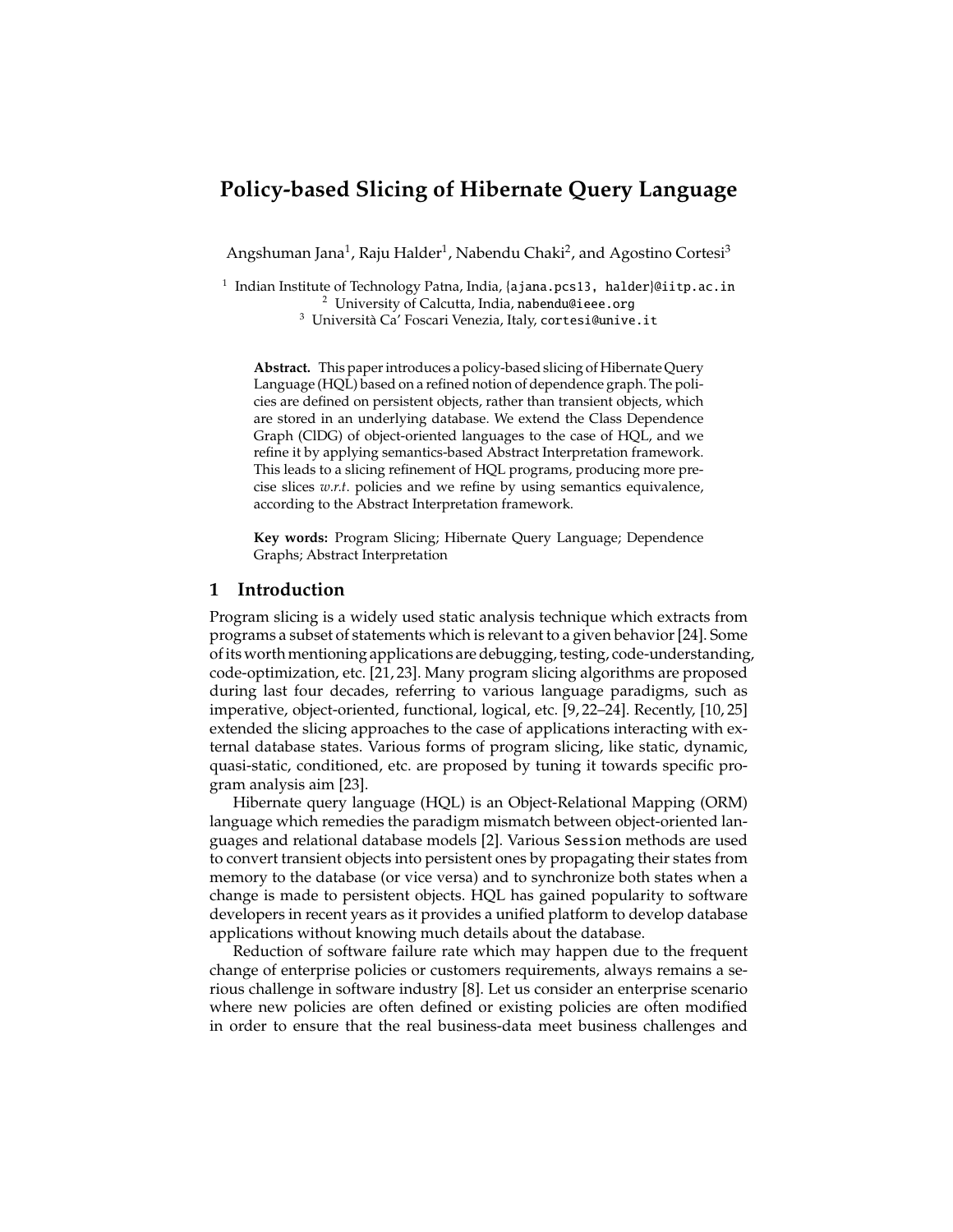## **Policy-based Slicing of Hibernate Query Language**

Angshuman Jana<sup>1</sup>, Raju Halder<sup>1</sup>, Nabendu Chaki<sup>2</sup>, and Agostino Cortesi<sup>3</sup>

<sup>1</sup> Indian Institute of Technology Patna, India, {ajana.pcs13, halder}@iitp.ac.in <sup>2</sup> University of Calcutta, India, nabendu@ieee.org

 $3$  Università Ca' Foscari Venezia, Italy, cortesi@unive.it

**Abstract.** This paper introduces a policy-based slicing of Hibernate Query Language (HQL) based on a refined notion of dependence graph. The policies are defined on persistent objects, rather than transient objects, which are stored in an underlying database. We extend the Class Dependence Graph (ClDG) of object-oriented languages to the case of HQL, and we refine it by applying semantics-based Abstract Interpretation framework. This leads to a slicing refinement of HQL programs, producing more precise slices *w*.*r*.*t*. policies and we refine by using semantics equivalence, according to the Abstract Interpretation framework.

**Key words:** Program Slicing; Hibernate Query Language; Dependence Graphs; Abstract Interpretation

#### **1 Introduction**

Program slicing is a widely used static analysis technique which extracts from programs a subset of statements which is relevant to a given behavior [24]. Some of its worth mentioning applications are debugging, testing, code-understanding, code-optimization, etc. [21, 23]. Many program slicing algorithms are proposed during last four decades, referring to various language paradigms, such as imperative, object-oriented, functional, logical, etc. [9, 22–24]. Recently, [10, 25] extended the slicing approaches to the case of applications interacting with external database states. Various forms of program slicing, like static, dynamic, quasi-static, conditioned, etc. are proposed by tuning it towards specific program analysis aim [23].

Hibernate query language (HQL) is an Object-Relational Mapping (ORM) language which remedies the paradigm mismatch between object-oriented languages and relational database models [2]. Various Session methods are used to convert transient objects into persistent ones by propagating their states from memory to the database (or vice versa) and to synchronize both states when a change is made to persistent objects. HQL has gained popularity to software developers in recent years as it provides a unified platform to develop database applications without knowing much details about the database.

Reduction of software failure rate which may happen due to the frequent change of enterprise policies or customers requirements, always remains a serious challenge in software industry [8]. Let us consider an enterprise scenario where new policies are often defined or existing policies are often modified in order to ensure that the real business-data meet business challenges and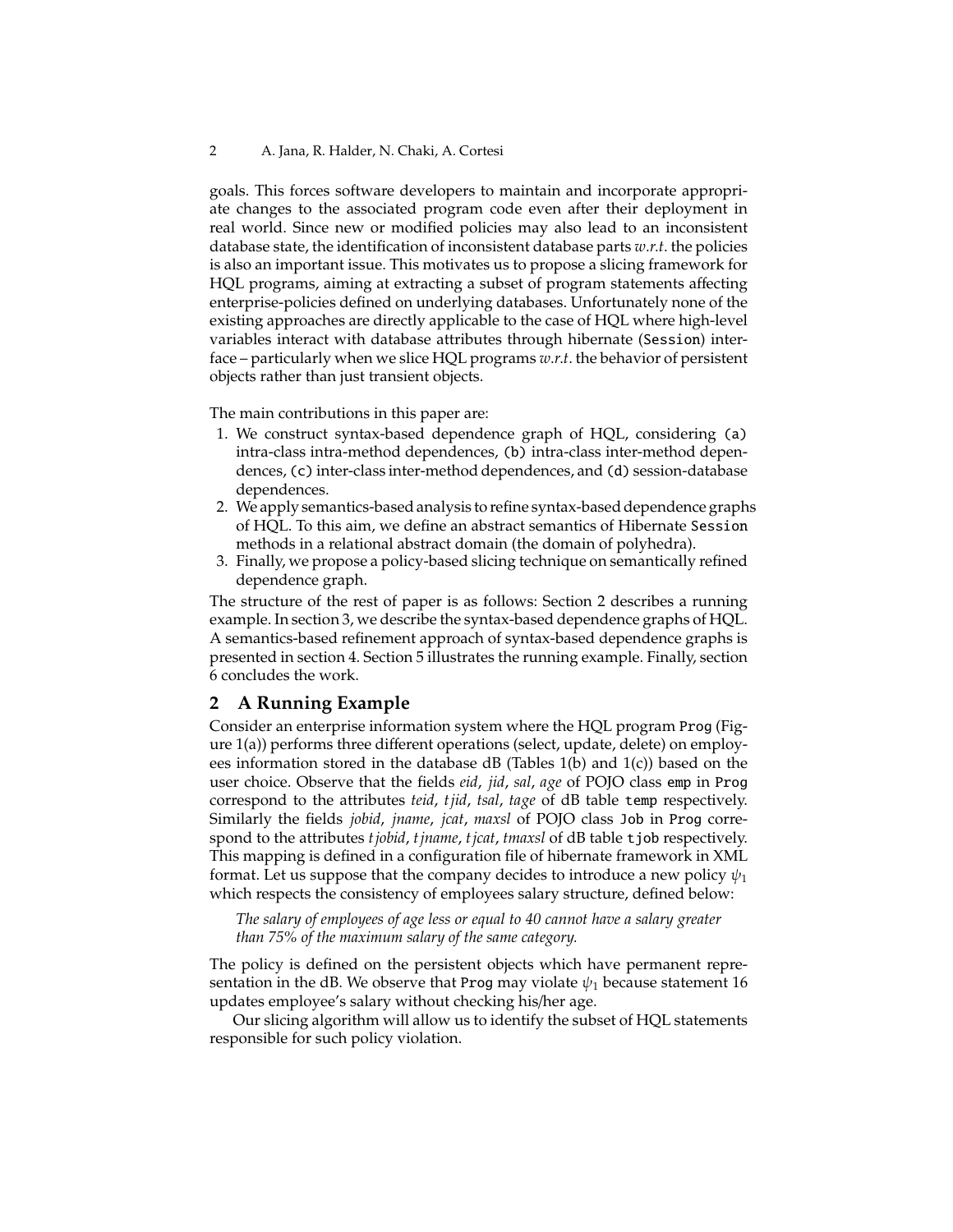goals. This forces software developers to maintain and incorporate appropriate changes to the associated program code even after their deployment in real world. Since new or modified policies may also lead to an inconsistent database state, the identification of inconsistent database parts *w*.*r*.*t*. the policies is also an important issue. This motivates us to propose a slicing framework for HQL programs, aiming at extracting a subset of program statements affecting enterprise-policies defined on underlying databases. Unfortunately none of the existing approaches are directly applicable to the case of HQL where high-level variables interact with database attributes through hibernate (Session) interface – particularly when we slice HQL programs *w*.*r*.*t*. the behavior of persistent objects rather than just transient objects.

The main contributions in this paper are:

- 1. We construct syntax-based dependence graph of HQL, considering (a) intra-class intra-method dependences, (b) intra-class inter-method dependences, (c) inter-class inter-method dependences, and (d) session-database dependences.
- 2. We apply semantics-based analysis to refine syntax-based dependence graphs of HQL. To this aim, we define an abstract semantics of Hibernate Session methods in a relational abstract domain (the domain of polyhedra).
- 3. Finally, we propose a policy-based slicing technique on semantically refined dependence graph.

The structure of the rest of paper is as follows: Section 2 describes a running example. In section 3, we describe the syntax-based dependence graphs of HQL. A semantics-based refinement approach of syntax-based dependence graphs is presented in section 4. Section 5 illustrates the running example. Finally, section 6 concludes the work.

### **2 A Running Example**

Consider an enterprise information system where the HQL program Prog (Figure 1(a)) performs three different operations (select, update, delete) on employees information stored in the database dB (Tables 1(b) and 1(c)) based on the user choice. Observe that the fields *eid*, *jid*, *sal*, *age* of POJO class emp in Prog correspond to the attributes *teid*, *tjid*, *tsal*, *tage* of dB table temp respectively. Similarly the fields *jobid*, *jname*, *jcat*, *maxsl* of POJO class Job in Prog correspond to the attributes *tjobid*, *tjname*, *tjcat*, *tmaxsl* of dB table tjob respectively. This mapping is defined in a configuration file of hibernate framework in XML format. Let us suppose that the company decides to introduce a new policy  $\psi_1$ which respects the consistency of employees salary structure, defined below:

*The salary of employees of age less or equal to 40 cannot have a salary greater than 75% of the maximum salary of the same category.*

The policy is defined on the persistent objects which have permanent representation in the dB. We observe that Prog may violate  $\psi_1$  because statement 16 updates employee's salary without checking his/her age.

Our slicing algorithm will allow us to identify the subset of HQL statements responsible for such policy violation.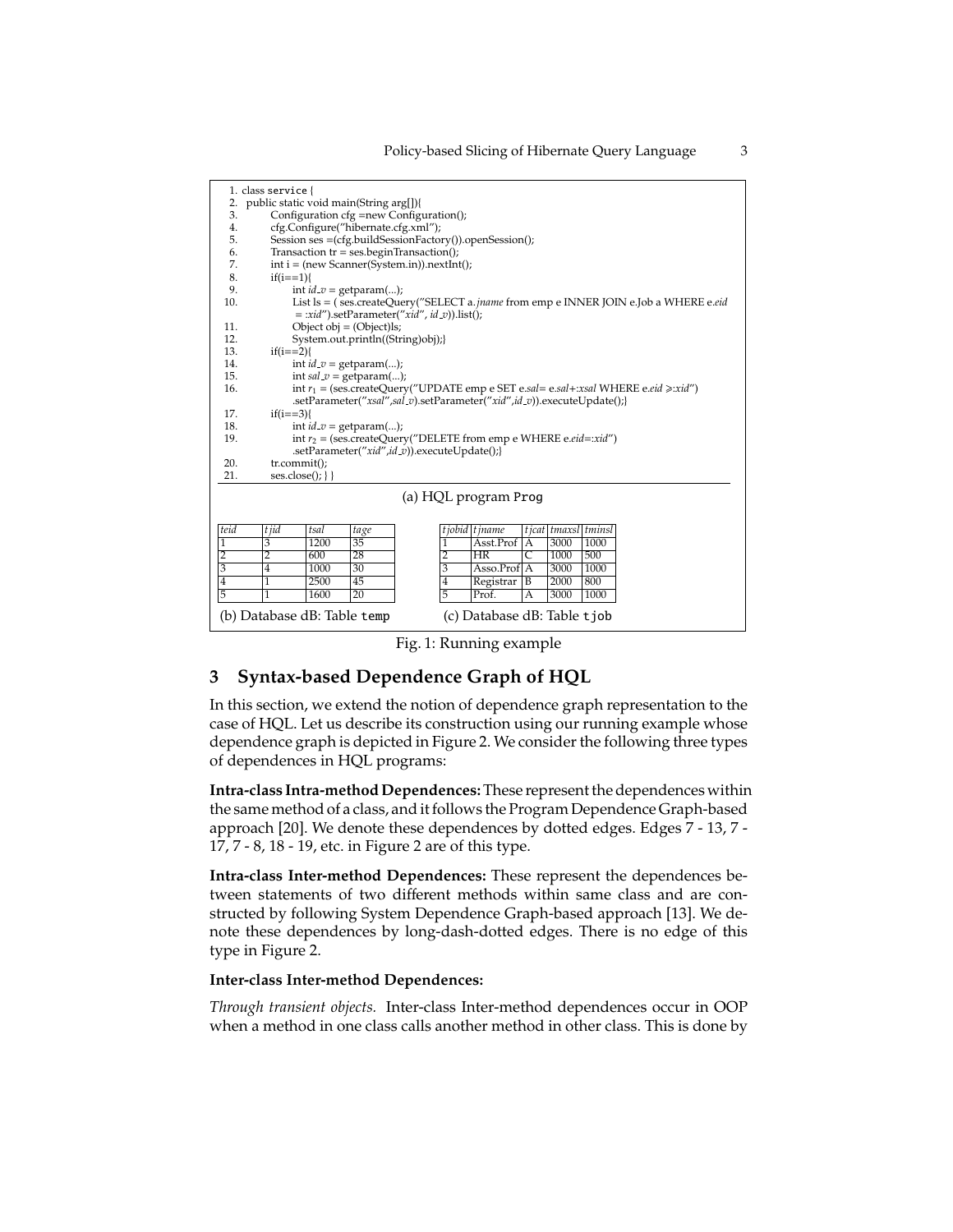|                                                            | 1. class service {                                                                   |              |                           |                                                                                             |  |  |  |
|------------------------------------------------------------|--------------------------------------------------------------------------------------|--------------|---------------------------|---------------------------------------------------------------------------------------------|--|--|--|
| 2.                                                         | public static void main(String arg[]){                                               |              |                           |                                                                                             |  |  |  |
| 3.                                                         | Configuration cfg =new Configuration();                                              |              |                           |                                                                                             |  |  |  |
| 4.                                                         | cfg.Configure("hibernate.cfg.xml");                                                  |              |                           |                                                                                             |  |  |  |
| 5.                                                         | Session ses = (cfg.buildSessionFactory()).openSession();                             |              |                           |                                                                                             |  |  |  |
| 6.                                                         | Transaction $tr = ses\cdot\text{begin}Transaction();$                                |              |                           |                                                                                             |  |  |  |
| 7.                                                         | $int i = (new Scanner(System.in)) . nextInt();$                                      |              |                           |                                                                                             |  |  |  |
| 8.                                                         | $if(i == 1)$                                                                         |              |                           |                                                                                             |  |  |  |
| 9.                                                         | int $id_v = getparam();$                                                             |              |                           |                                                                                             |  |  |  |
| 10.                                                        | List ls = (ses.createQuery("SELECT a.jname from emp e INNER JOIN e.Job a WHERE e.eid |              |                           |                                                                                             |  |  |  |
|                                                            |                                                                                      |              |                           | $=$ :xid").setParameter("xid", id_v)).list();                                               |  |  |  |
| 11.                                                        | Object obj = $(Object)ls$ ;                                                          |              |                           |                                                                                             |  |  |  |
| 12.                                                        | System.out.println((String)obj);                                                     |              |                           |                                                                                             |  |  |  |
| 13.                                                        | $if(i == 2)$                                                                         |              |                           |                                                                                             |  |  |  |
| 14.                                                        | int $id_v = getparam();$                                                             |              |                           |                                                                                             |  |  |  |
| 15.                                                        |                                                                                      |              | int $sal_v = getparam();$ |                                                                                             |  |  |  |
| 16.                                                        |                                                                                      |              |                           | int $r_1$ = (ses.createQuery("UPDATE emp e SET e.sal= e.sal+:xsal WHERE e.eid $\ge$ :xid")  |  |  |  |
|                                                            |                                                                                      |              |                           | .setParameter("xsal",sal_v).setParameter("xid",id_v)).executeUpdate();}                     |  |  |  |
| 17.                                                        | $if(i == 3)$                                                                         |              |                           |                                                                                             |  |  |  |
| 18.                                                        | int $id_v = getparam();$                                                             |              |                           |                                                                                             |  |  |  |
| 19.                                                        | int $r_2$ = (ses.createQuery("DELETE from emp e WHERE e.eid=:xid")                   |              |                           |                                                                                             |  |  |  |
|                                                            |                                                                                      |              |                           | .setParameter("xid",id_v)).executeUpdate();}                                                |  |  |  |
| 20.                                                        | tr.commit();                                                                         |              |                           |                                                                                             |  |  |  |
| 21.                                                        | ses.close();                                                                         |              |                           |                                                                                             |  |  |  |
|                                                            |                                                                                      |              |                           | (a) HQL program Prog                                                                        |  |  |  |
|                                                            |                                                                                      |              |                           |                                                                                             |  |  |  |
| teid                                                       | t jid                                                                                | tsal         |                           |                                                                                             |  |  |  |
| 1                                                          | $\overline{3}$                                                                       | 1200         | tage<br>35                | t jobid t jname<br>t jcat   tmaxsl   tminsl<br>Asst.Prof <sup>IA</sup><br>1<br>3000<br>1000 |  |  |  |
|                                                            |                                                                                      |              |                           | $\overline{\mathsf{C}}$                                                                     |  |  |  |
| 2<br>3                                                     | $\overline{2}$                                                                       | 600          | 28                        | 2<br><b>HR</b><br>1000<br>500                                                               |  |  |  |
| $\overline{4}$                                             | $\overline{4}$                                                                       | 1000<br>2500 | 30                        | 3<br>$Asso. Prof  A 300010002000800$                                                        |  |  |  |
|                                                            | $\overline{1}$                                                                       |              | 45                        | 4<br>Registrar<br>$\overline{B}$                                                            |  |  |  |
| 5                                                          | 1                                                                                    | 1600         | 20                        | 5<br>3000<br>Prof.<br>1000<br>A                                                             |  |  |  |
| (b) Database dB: Table temp<br>(c) Database dB: Table tjob |                                                                                      |              |                           |                                                                                             |  |  |  |

Fig. 1: Running example

## **3 Syntax-based Dependence Graph of HQL**

In this section, we extend the notion of dependence graph representation to the case of HQL. Let us describe its construction using our running example whose dependence graph is depicted in Figure 2. We consider the following three types of dependences in HQL programs:

**Intra-class Intra-method Dependences:**These represent the dependences within the same method of a class, and it follows the Program Dependence Graph-based approach [20]. We denote these dependences by dotted edges. Edges 7 - 13, 7 - 17, 7 - 8, 18 - 19, etc. in Figure 2 are of this type.

**Intra-class Inter-method Dependences:** These represent the dependences between statements of two different methods within same class and are constructed by following System Dependence Graph-based approach [13]. We denote these dependences by long-dash-dotted edges. There is no edge of this type in Figure 2.

#### **Inter-class Inter-method Dependences:**

*Through transient objects.* Inter-class Inter-method dependences occur in OOP when a method in one class calls another method in other class. This is done by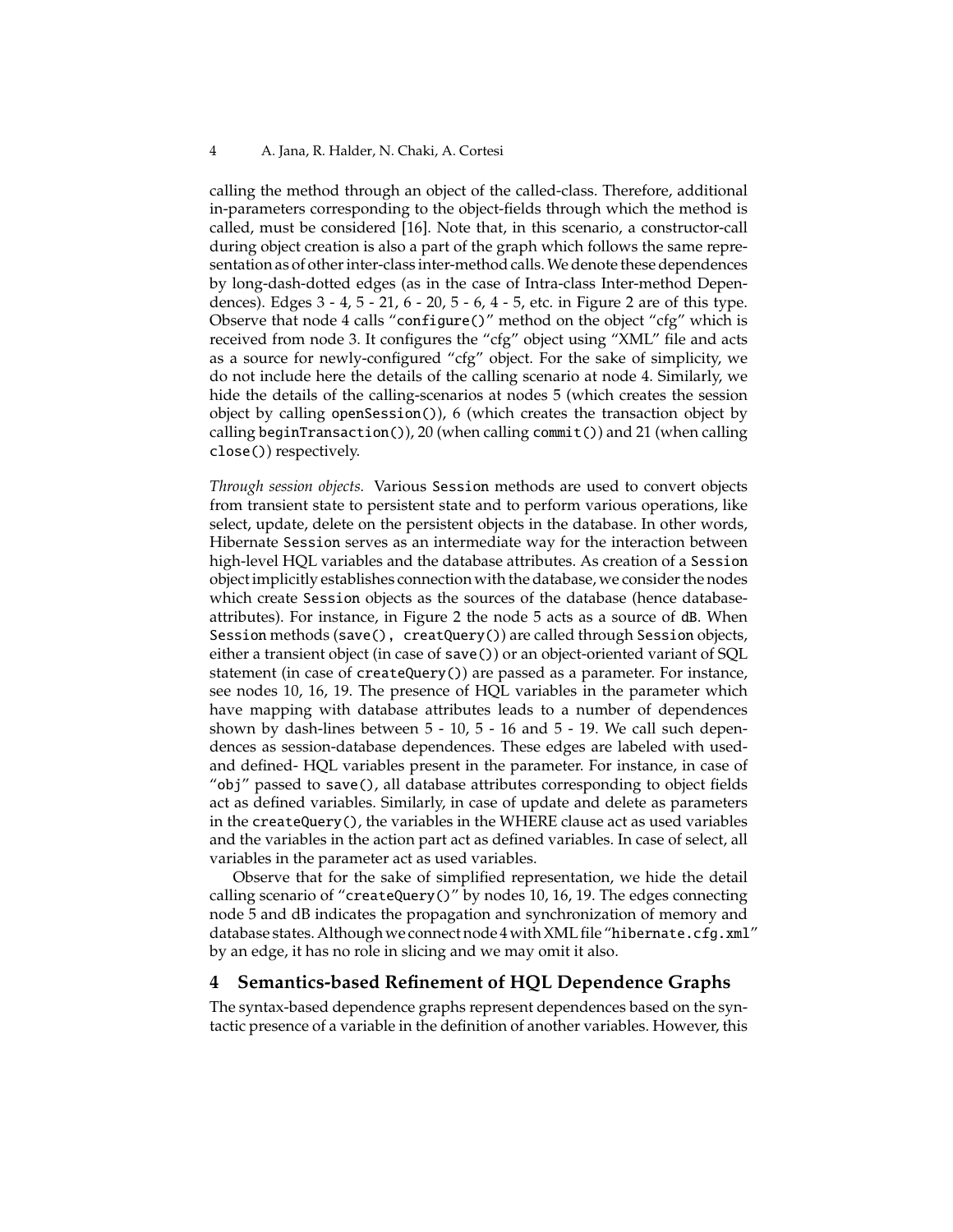calling the method through an object of the called-class. Therefore, additional in-parameters corresponding to the object-fields through which the method is called, must be considered [16]. Note that, in this scenario, a constructor-call during object creation is also a part of the graph which follows the same representation as of other inter-class inter-method calls.We denote these dependences by long-dash-dotted edges (as in the case of Intra-class Inter-method Dependences). Edges 3 - 4, 5 - 21, 6 - 20, 5 - 6, 4 - 5, etc. in Figure 2 are of this type. Observe that node 4 calls "configure()" method on the object "cfg" which is received from node 3. It configures the "cfg" object using "XML" file and acts as a source for newly-configured "cfg" object. For the sake of simplicity, we do not include here the details of the calling scenario at node 4. Similarly, we hide the details of the calling-scenarios at nodes 5 (which creates the session object by calling openSession()), 6 (which creates the transaction object by calling beginTransaction()), 20 (when calling commit()) and 21 (when calling close()) respectively.

*Through session objects.* Various Session methods are used to convert objects from transient state to persistent state and to perform various operations, like select, update, delete on the persistent objects in the database. In other words, Hibernate Session serves as an intermediate way for the interaction between high-level HQL variables and the database attributes. As creation of a Session object implicitly establishes connection with the database, we consider the nodes which create Session objects as the sources of the database (hence databaseattributes). For instance, in Figure 2 the node 5 acts as a source of dB. When Session methods (save(), creatQuery()) are called through Session objects, either a transient object (in case of save()) or an object-oriented variant of SQL statement (in case of createQuery()) are passed as a parameter. For instance, see nodes 10, 16, 19. The presence of HQL variables in the parameter which have mapping with database attributes leads to a number of dependences shown by dash-lines between 5 - 10, 5 - 16 and 5 - 19. We call such dependences as session-database dependences. These edges are labeled with usedand defined- HQL variables present in the parameter. For instance, in case of "obj" passed to save(), all database attributes corresponding to object fields act as defined variables. Similarly, in case of update and delete as parameters in the createQuery(), the variables in the WHERE clause act as used variables and the variables in the action part act as defined variables. In case of select, all variables in the parameter act as used variables.

Observe that for the sake of simplified representation, we hide the detail calling scenario of "createQuery()" by nodes 10, 16, 19. The edges connecting node 5 and dB indicates the propagation and synchronization of memory and database states. Although we connect node 4 with XML file "hibernate.cfg.xml" by an edge, it has no role in slicing and we may omit it also.

## **4 Semantics-based Refinement of HQL Dependence Graphs**

The syntax-based dependence graphs represent dependences based on the syntactic presence of a variable in the definition of another variables. However, this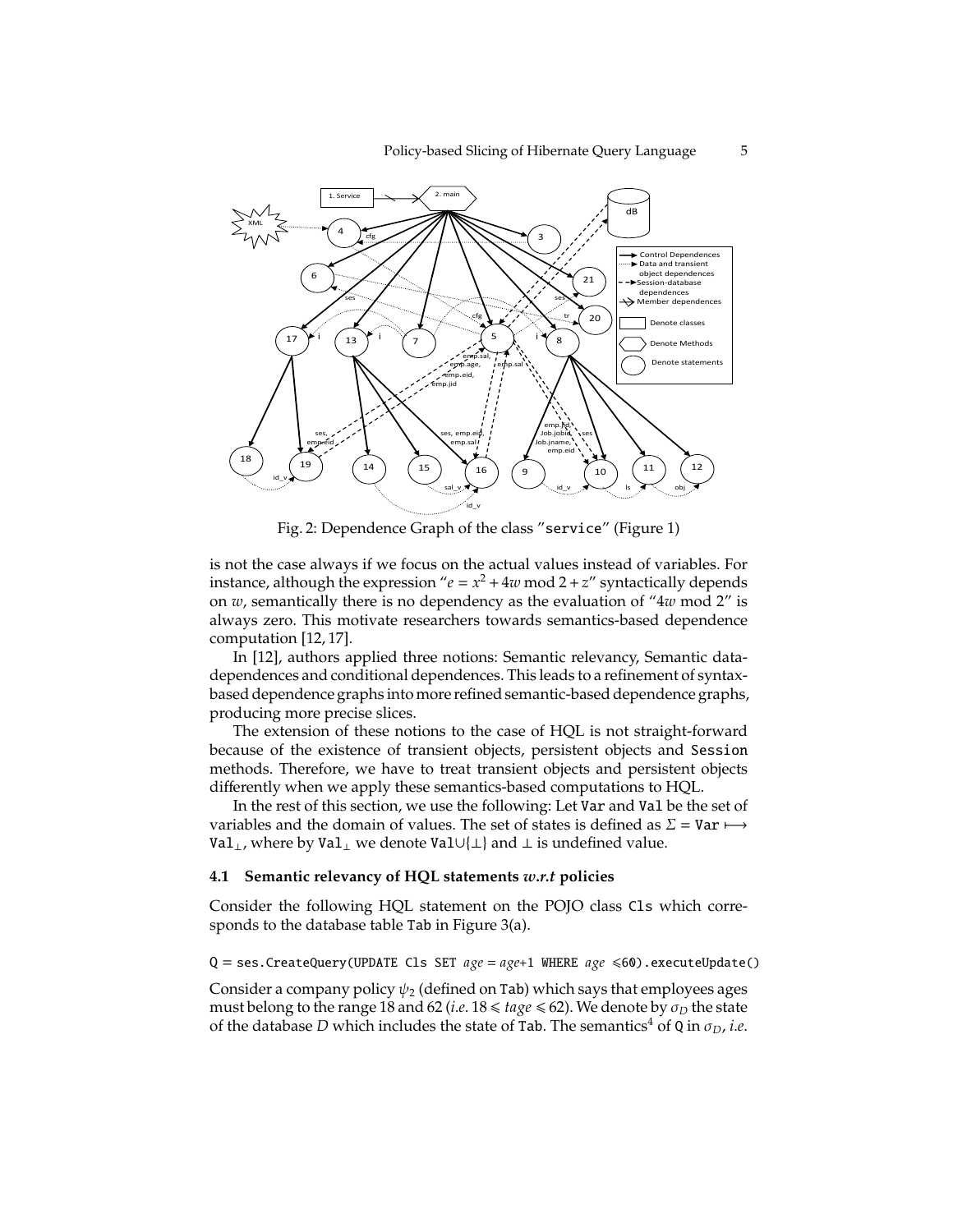

Fig. 2: Dependence Graph of the class "service" (Figure 1)

is not the case always if we focus on the actual values instead of variables. For instance, although the expression " $e = x^2 + 4w \mod 2 + z$ " syntactically depends on *w*, semantically there is no dependency as the evaluation of "4*w* mod 2" is always zero. This motivate researchers towards semantics-based dependence computation [12, 17].

In [12], authors applied three notions: Semantic relevancy, Semantic datadependences and conditional dependences. This leads to a refinement of syntaxbased dependence graphs into more refined semantic-based dependence graphs, producing more precise slices.

The extension of these notions to the case of HQL is not straight-forward because of the existence of transient objects, persistent objects and Session methods. Therefore, we have to treat transient objects and persistent objects differently when we apply these semantics-based computations to HQL.

In the rest of this section, we use the following: Let Var and Val be the set of variables and the domain of values. The set of states is defined as  $\Sigma = \text{Var} \mapsto$ Val<sub>⊥</sub>, where by Val<sub>⊥</sub> we denote Val∪{⊥} and ⊥ is undefined value.

#### **4.1 Semantic relevancy of HQL statements** *w*.*r*.*t* **policies**

Consider the following HQL statement on the POJO class Cls which corresponds to the database table Tab in Figure 3(a).

 $Q =$  ses. CreateQuery(UPDATE Cls SET  $age = age + 1$  WHERE  $age \le 60$ ). executeUpdate()

Consider a company policy  $\psi_2$  (defined on Tab) which says that employees ages must belong to the range 18 and 62 (*i.e.*  $18 \leq$  *tage*  $\leq$  62). We denote by  $\sigma_D$  the state of the database *D* which includes the state of Tab. The semantics<sup>4</sup> of Q in  $\sigma_D$ , *i.e.*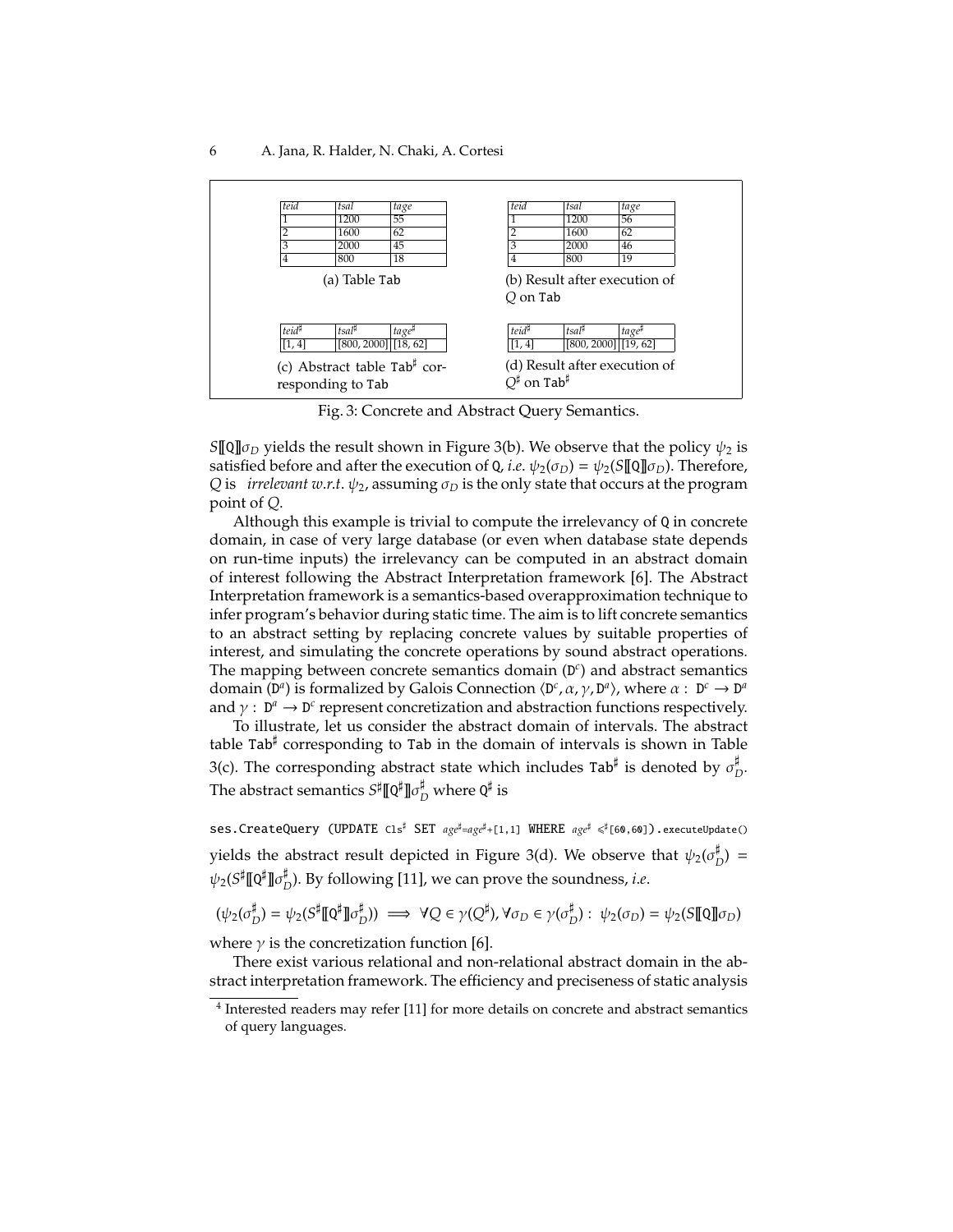

Fig. 3: Concrete and Abstract Query Semantics.

*S*[[Q]] $\sigma$ <sub>*D*</sub> yields the result shown in Figure 3(b). We observe that the policy  $\psi_2$  is satisfied before and after the execution of Q, *i.e.*  $\psi_2(\sigma_D) = \psi_2(S[\![\mathbb{Q}]\!] \sigma_D)$ . Therefore, *Q* is *irrelevant w.r.t.*  $\psi_2$ , assuming  $\sigma_D$  is the only state that occurs at the program point of *Q*.

Although this example is trivial to compute the irrelevancy of Q in concrete domain, in case of very large database (or even when database state depends on run-time inputs) the irrelevancy can be computed in an abstract domain of interest following the Abstract Interpretation framework [6]. The Abstract Interpretation framework is a semantics-based overapproximation technique to infer program's behavior during static time. The aim is to lift concrete semantics to an abstract setting by replacing concrete values by suitable properties of interest, and simulating the concrete operations by sound abstract operations. The mapping between concrete semantics domain (D *c* ) and abstract semantics domain (D<sup>*a*</sup>) is formalized by Galois Connection  $\langle D^c, \alpha, \gamma, D^a \rangle$ , where  $\alpha : D^c \to D^a$ and  $\gamma : D^a \to D^c$  represent concretization and abstraction functions respectively.

To illustrate, let us consider the abstract domain of intervals. The abstract table Tab<sup>#</sup> corresponding to Tab in the domain of intervals is shown in Table 3(c). The corresponding abstract state which includes Tab<sup>#</sup> is denoted by  $\sigma_I^{\sharp}$ *D* . The abstract semantics  $S^{\sharp} \llbracket \mathsf{Q}^{\sharp} \rrbracket$  $\sigma^{\sharp}_{D}$  where  $\mathsf{Q}^{\sharp}$  is

Ses.CreateQuery (UPDATE Cls<sup>#</sup> SET  $_{age}^{\sharp} =_{age}^{\sharp} + [1,1]$  WHERE  $_{age}^{\sharp} \leq^{\sharp}$ [60,60]).executeUpdate() yields the abstract result depicted in Figure 3(d). We observe that  $\psi_2(\sigma^\sharp_I)$  $_{D}^{*}$ ) =  $\psi_2(S^\sharp \llbracket \mathtt{Q}^\sharp \rrbracket \sigma_I^\sharp$ *D* ). By following [11], we can prove the soundness, *i*.*e*.

$$
(\psi_2(\sigma_D^{\sharp}) = \psi_2(S^{\sharp} \llbracket \mathbf{Q}^{\sharp} \rrbracket \sigma_D^{\sharp})) \implies \forall Q \in \gamma(Q^{\sharp}), \forall \sigma_D \in \gamma(\sigma_D^{\sharp}) : \psi_2(\sigma_D) = \psi_2(S \llbracket \mathbf{Q} \rrbracket \sigma_D)
$$

where  $\gamma$  is the concretization function [6].

There exist various relational and non-relational abstract domain in the abstract interpretation framework. The efficiency and preciseness of static analysis

<sup>&</sup>lt;sup>4</sup> Interested readers may refer [11] for more details on concrete and abstract semantics of query languages.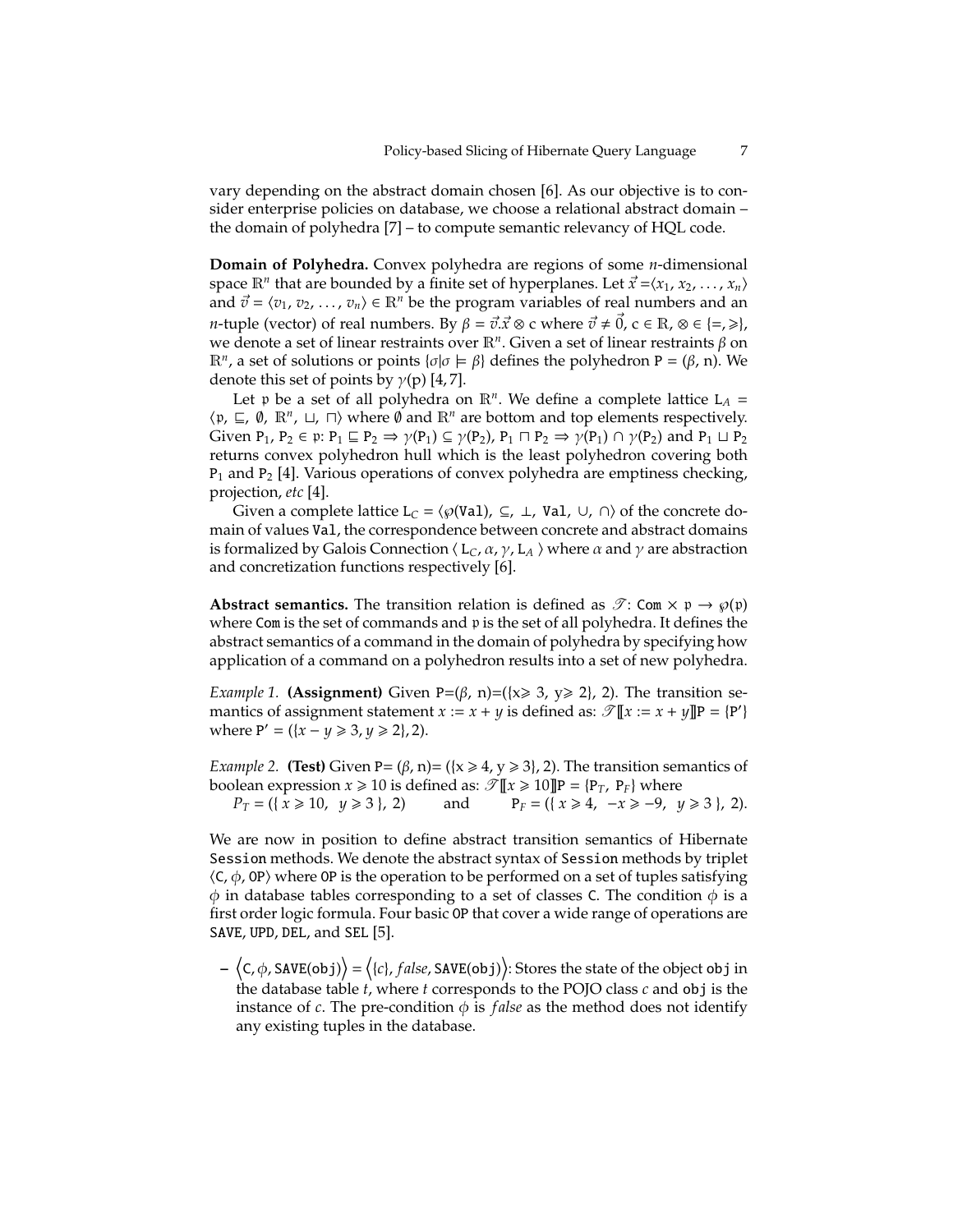vary depending on the abstract domain chosen [6]. As our objective is to consider enterprise policies on database, we choose a relational abstract domain – the domain of polyhedra [7] – to compute semantic relevancy of HQL code.

**Domain of Polyhedra.** Convex polyhedra are regions of some *n*-dimensional space  $\mathbb{R}^n$  that are bounded by a finite set of hyperplanes. Let  $\vec{x} = \langle x_1, x_2, \ldots, x_n \rangle$ and  $\vec{v} = \langle v_1, v_2, \dots, v_n \rangle \in \mathbb{R}^n$  be the program variables of real numbers and an *n*-tuple (vector) of real numbers. By  $\beta = \vec{v} \cdot \vec{x} \otimes c$  where  $\vec{v} \neq \vec{0}$ ,  $c \in \mathbb{R}$ ,  $\otimes \in \{\neq, \geq\},$ we denote a set of linear restraints over R*<sup>n</sup>* . Given a set of linear restraints β on  $\mathbb{R}^n$ , a set of solutions or points {*σ*|*σ*  $\models$  *β*} defines the polyhedron P = (*β*, n). We denote this set of points by  $\gamma(p)$  [4, 7].

Let p be a set of all polyhedra on  $\mathbb{R}^n$ . We define a complete lattice  $L_A =$  $\langle \mathfrak{p}, \sqsubseteq, \emptyset, \mathbb{R}^n, \sqcup, \sqcap \rangle$  where  $\emptyset$  and  $\mathbb{R}^n$  are bottom and top elements respectively. Given  $P_1$ ,  $P_2 \in \mathfrak{p}$ :  $P_1 \sqsubseteq P_2 \Rightarrow \gamma(P_1) \subseteq \gamma(P_2)$ ,  $P_1 \sqcap P_2 \Rightarrow \gamma(P_1) \cap \gamma(P_2)$  and  $P_1 \sqcup P_2$ returns convex polyhedron hull which is the least polyhedron covering both  $P_1$  and  $P_2$  [4]. Various operations of convex polyhedra are emptiness checking, projection, *etc* [4].

Given a complete lattice  $L_C = \langle \wp(\text{Val}) \rangle \subseteq L$ , Val,  $\cup$ ,  $\cap$  of the concrete domain of values Val, the correspondence between concrete and abstract domains is formalized by Galois Connection  $\langle L_C, \alpha, \gamma, L_A \rangle$  where  $\alpha$  and  $\gamma$  are abstraction and concretization functions respectively [6].

**Abstract semantics.** The transition relation is defined as  $\mathscr{T}$ : Com  $\times$  p  $\rightarrow \varphi(\mathfrak{p})$ where Com is the set of commands and p is the set of all polyhedra. It defines the abstract semantics of a command in the domain of polyhedra by specifying how application of a command on a polyhedron results into a set of new polyhedra.

*Example 1.* **(Assignment)** Given P=( $\beta$ , n)=( $\{x \ge 3, y \ge 2\}$ , 2). The transition semantics of assignment statement  $x := x + y$  is defined as:  $\mathscr{T}[\![x := x + y]\!]$ P = {P'} where  $P' = (\{x - y \ge 3, y \ge 2\}, 2)$ .

*Example 2.* **(Test)** Given P=  $(\beta, n)$ =  $({x \ge 4, y \ge 3}, 2)$ . The transition semantics of boolean expression  $x \ge 10$  is defined as:  $\mathcal{T} [ \mathbf{I} \mathbf{X} \ge 10 ] ]$ P = {P<sub>T</sub>, P<sub>F</sub>} where

*P*<sup>*T*</sup> = ({ *x* ≥ 10, *y* ≥ 3 }, 2) and P<sup>*F*</sup> = ({ *x* ≥ 4, −*x* ≥ −9, *y* ≥ 3 }, 2).

We are now in position to define abstract transition semantics of Hibernate Session methods. We denote the abstract syntax of Session methods by triplet  $\langle C, \phi, \text{OP} \rangle$  where OP is the operation to be performed on a set of tuples satisfying  $\phi$  in database tables corresponding to a set of classes C. The condition  $\phi$  is a first order logic formula. Four basic OP that cover a wide range of operations are SAVE, UPD, DEL, and SEL [5].

 $-\langle C,\phi, \texttt{SAVE}(\texttt{obj})\rangle = \langle \{c\}, \texttt{false}, \texttt{SAVE}(\texttt{obj})\rangle$ : Stores the state of the object obj in the database table *t*, where *t* corresponds to the POJO class *c* and obj is the instance of  $c$ . The pre-condition  $\phi$  is *false* as the method does not identify any existing tuples in the database.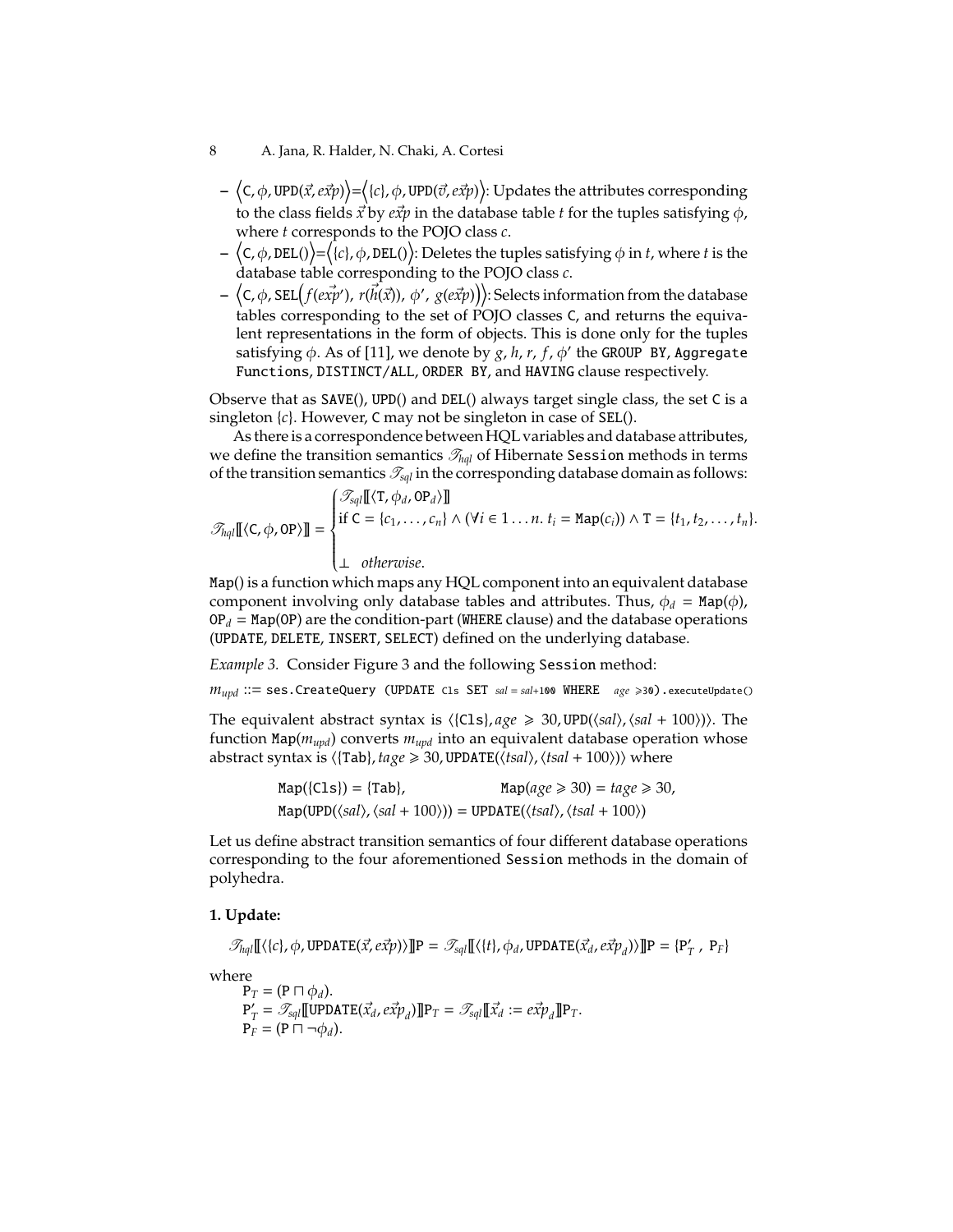#### 8 A. Jana, R. Halder, N. Chaki, A. Cortesi

- $\langle$  C, φ, UPD(*x*<sup>,</sup>, e*x̃p*))= $\langle$ {c}, φ, UPD( $\vec{\sigma}$ , e*x̃p*)): Updates the attributes corresponding to the class fields  $\vec{x}$  by  $e\vec{x}p$  in the database table *t* for the tuples satisfying  $\phi$ , where *t* corresponds to the POJO class *c*.
- $-\langle {\mathsf{C}},\phi,{\mathtt{DEL}}(\rangle)\!\!=\!\!\overline{\langle\{\mathsf{c}\},\phi,{\mathtt{DEL}}(\rangle\!\}}\!:\!$  Deletes the tuples satisfying  $\phi$  in  $t$ , where  $t$  is the database table corresponding to the POJO class *c*.
- $\langle$  C, φ, SEL $(f(e\vec{xp'}), r(\vec{h}(\vec{x})), \phi', g(e\vec{x}p))\rangle$ : Selects information from the database tables corresponding to the set of POJO classes C, and returns the equivalent representations in the form of objects. This is done only for the tuples satisfying φ. As of [11], we denote by g, h, r, f, φ' the GROUP BY, Aggregate Functions, DISTINCT/ALL, ORDER BY, and HAVING clause respectively.

Observe that as SAVE(), UPD() and DEL() always target single class, the set C is a singleton {*c*}. However, C may not be singleton in case of SEL().

As there is a correspondence between HQL variables and database attributes, we define the transition semantics  $\mathcal{T}_{hal}$  of Hibernate Session methods in terms of the transition semantics  $\mathcal{T}_{\text{Sql}}$  in the corresponding database domain as follows:

$$
\mathcal{T}_{half}[[\langle C, \phi, \text{OP}\rangle]] = \begin{cases} \mathcal{T}_{\text{sq}}[[\langle T, \phi_d, \text{OP}_d\rangle]] \\ \text{if } C = \{c_1, \ldots, c_n\} \land (\forall i \in 1 \ldots n. t_i = \text{Map}(c_i)) \land T = \{t_1, t_2, \ldots, t_n\}. \\ \perp \quad \text{otherwise.} \end{cases}
$$

Map() is a function which maps any HQL component into an equivalent database component involving only database tables and attributes. Thus,  $\phi_d = \text{Map}(\phi)$ ,  $OP_d = MapOP$ ) are the condition-part (WHERE clause) and the database operations (UPDATE, DELETE, INSERT, SELECT) defined on the underlying database.

*Example 3.* Consider Figure 3 and the following Session method:

*mupd* ::= ses.CreateQuery (UPDATE Cls SET *sal* <sup>=</sup> *sal*+100 WHERE *age* <sup>&</sup>gt;30).executeUpdate()

The equivalent abstract syntax is  $\langle$ {Cls}, *age*  $\geq$  30, UPD( $\langle$ sal),  $\langle$ sal + 100 $\rangle$ )). The function Map(*mupd*) converts *mupd* into an equivalent database operation whose abstract syntax is  $\langle$ [Tab], *tage*  $\geq$  30, UPDATE( $\langle$ *tsal*),  $\langle$ *tsal* + 100 $\rangle$ ) $\rangle$  where

$$
Map({Cls}) = {Tab}, \qquad Map(age \ge 30) = tage \ge 30,
$$
  

$$
Map(UPD(\langle sal \rangle, \langle sal + 100 \rangle)) = UPDATE(\langle tsal \rangle, \langle tsal + 100 \rangle))
$$

Let us define abstract transition semantics of four different database operations corresponding to the four aforementioned Session methods in the domain of polyhedra.

#### **1. Update:**

$$
\mathcal{T}_{hql}[[\langle \{c\}, \phi, \text{UPDATE}(\vec{x}, e\vec{xp}) \rangle]]\mathbf{P} = \mathcal{T}_{\text{sq}}[[\langle \{t\}, \phi_d, \text{UPDATE}(\vec{x}_d, e\vec{xp}_d) \rangle]]\mathbf{P} = \{P'_T, P_F\}
$$

where

 $P_T = (P \sqcap \phi_d).$  $\overline{\mathsf{P}'_{\gamma}}$  $\mathcal{T}_T = \mathscr{T}_{\text{sq}}$ *l*[[UPDATE( $\vec{x_d}$ ,  $e\vec{x}p_d$ )]]P<sub>*T*</sub> =  $\mathscr{T}_{\text{sq}}$ *l*[[ $\vec{x_d}$  :=  $e\vec{x}p_d$ ]]P<sub>*T*</sub>.  $P_F = (P \sqcap \neg \phi_d).$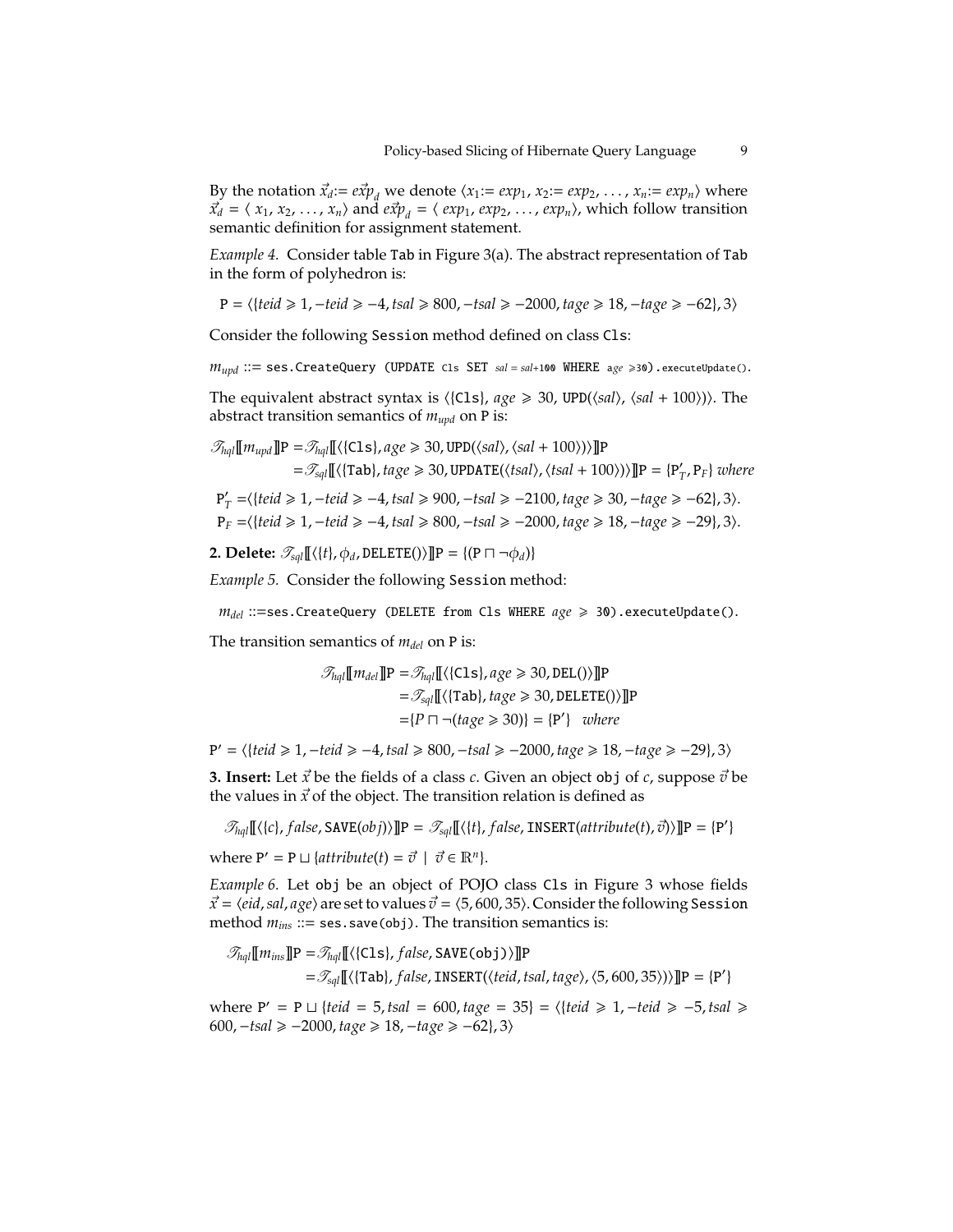By the notation  $\vec{x}_d := e\vec{x}p_d$  we denote  $\langle x_1 := exp_1, x_2 := exp_2, \ldots, x_n := exp_n \rangle$  where  $\vec{x}_d = \langle x_1, x_2, \dots, x_n \rangle$  and  $e\vec{x}p_d = \langle exp_1, exp_2, \dots, exp_n \rangle$ , which follow transition semantic definition for assignment statement.

*Example 4.* Consider table Tab in Figure 3(a). The abstract representation of Tab in the form of polyhedron is:

$$
P = \langle \{teid \ge 1, -teid \ge -4, tsal \ge 800, -tsal \ge -2000, tag \in \ge 18, -tag \in \ge -62\}, 3 \rangle
$$

Consider the following Session method defined on class Cls:

*m*<sub>*upd</sub>* ::= ses.CreateQuery (UPDATE Cls SET *sal* = *sal*+100 WHERE a*ge* ≥30).executeUpdate().</sub>

The equivalent abstract syntax is  $\langle$ {Cls}, *age* ≥ 30, UPD( $\langle$ sal),  $\langle$ sal + 100))). The abstract transition semantics of  $m_{\mu\nu}$  on P is:

$$
\mathcal{F}_{hql}[\![m_{upd}]\!] \mathbf{P} = \mathcal{F}_{hql}[\![\langle\{C1s\}, age \geq 30, \text{UPD}(\langle sal \rangle, \langle sal + 100 \rangle)\rangle]\!] \mathbf{P}
$$
\n
$$
= \mathcal{F}_{sql}[\![\langle\{Tab\}, tag \geq 30, \text{UPDATE}(\langle tsal \rangle, \langle tsal + 100 \rangle)\rangle]\!] \mathbf{P} = \{\mathbf{P}'_T, \mathbf{P}_F\} \text{ where}
$$
\n
$$
\mathbf{P}'_T = \langle\{teid \geq 1, -teid \geq -4, tsal \geq 900, -tsal \geq -2100, tag \geq 30, -tag \geq -62\}, 3 \rangle.
$$

P*<sup>F</sup>* =h{*teid* > 1,−*teid* > −4, *tsal* > 800,−*tsal* > −2000, *tage* > 18,−*tage* > −29}, 3i.

**2. Delete:**  $\mathcal{T}_{sal}[\{\langle t\}, \phi_d, \text{DELETE}(\mathcal{E})\}]$ P = {(P  $\Box \neg \phi_d$ )}

*Example 5.* Consider the following Session method:

 $m_{del}$  ::=ses.CreateQuery (DELETE from Cls WHERE  $age \ge 30$ ).executeUpdate().

The transition semantics of *mdel* on P is:

$$
\mathcal{F}_{hql}[\![m_{del}]\!] \mathbf{P} = \mathcal{F}_{hql}[\![\langle\{\texttt{cls}\}, age \geq 30, \texttt{DEL}() \rangle] \!] \mathbf{P}
$$
\n
$$
= \mathcal{F}_{sql}[\![\langle\{\texttt{Tab}\}, tage \geq 30, \texttt{DELETE}() \rangle] \!] \mathbf{P}
$$
\n
$$
= \{P \sqcap \neg (tage \geq 30) \} = \{P'\} \quad where
$$

P <sup>0</sup> = h{*teid* > 1,−*teid* > −4, *tsal* > 800,−*tsal* > −2000, *tage* > 18,−*tage* > −29}, 3i

**3. Insert:** Let  $\vec{x}$  be the fields of a class *c*. Given an object obj of *c*, suppose  $\vec{v}$  be the values in  $\vec{x}$  of the object. The transition relation is defined as

$$
\mathcal{T}_{half}[[\langle \{c\}, false, \texttt{SAVE}(obj)\rangle]]\mathbf{P} = \mathcal{T}_{\text{sq}}[[\langle \{t\}, false, \texttt{INSERT}(attribute(t), \vec{v})\rangle]]\mathbf{P} = \{\mathbf{P}'\}
$$

where  $P' = P \sqcup \{attribute(t) = \vec{v} \mid \vec{v} \in \mathbb{R}^n\}.$ 

*Example 6.* Let obj be an object of POJO class Cls in Figure 3 whose fields  $\vec{x}$  =  $\langle$ *eid*, *sal*, *age* $\rangle$  are set to values  $\vec{v}$  =  $\langle$ 5, 600, 35 $\rangle$ . Consider the following Session method *mins* ::= ses.save(obj). The transition semantics is:

$$
\mathcal{F}_{hql}[\![m_{ins}]\!] \mathbf{P} = \mathcal{F}_{hql}[\![\langle\{\text{cls}\}, \text{false}, \text{SAVE}(\text{obj})\rangle]\!] \mathbf{P}
$$
  
= 
$$
\mathcal{F}_{sql}[\![\langle\{\text{Tab}\}, \text{false}, \text{INSERT}(\langle \text{teid}, \text{tsal}, \text{tage}\rangle, \langle 5, 600, 35 \rangle)\}]\!] \mathbf{P} = \{\mathbf{P}'\}
$$

where P' = P  $\sqcup$  {*teid* = 5, *tsal* = 600, *tage* = 35} =  $\langle$ {*teid* ≥ 1, −*teid* ≥ −5, *tsal* ≥ 600,−*tsal* > −2000, *tage* > 18,−*tage* > −62}, 3i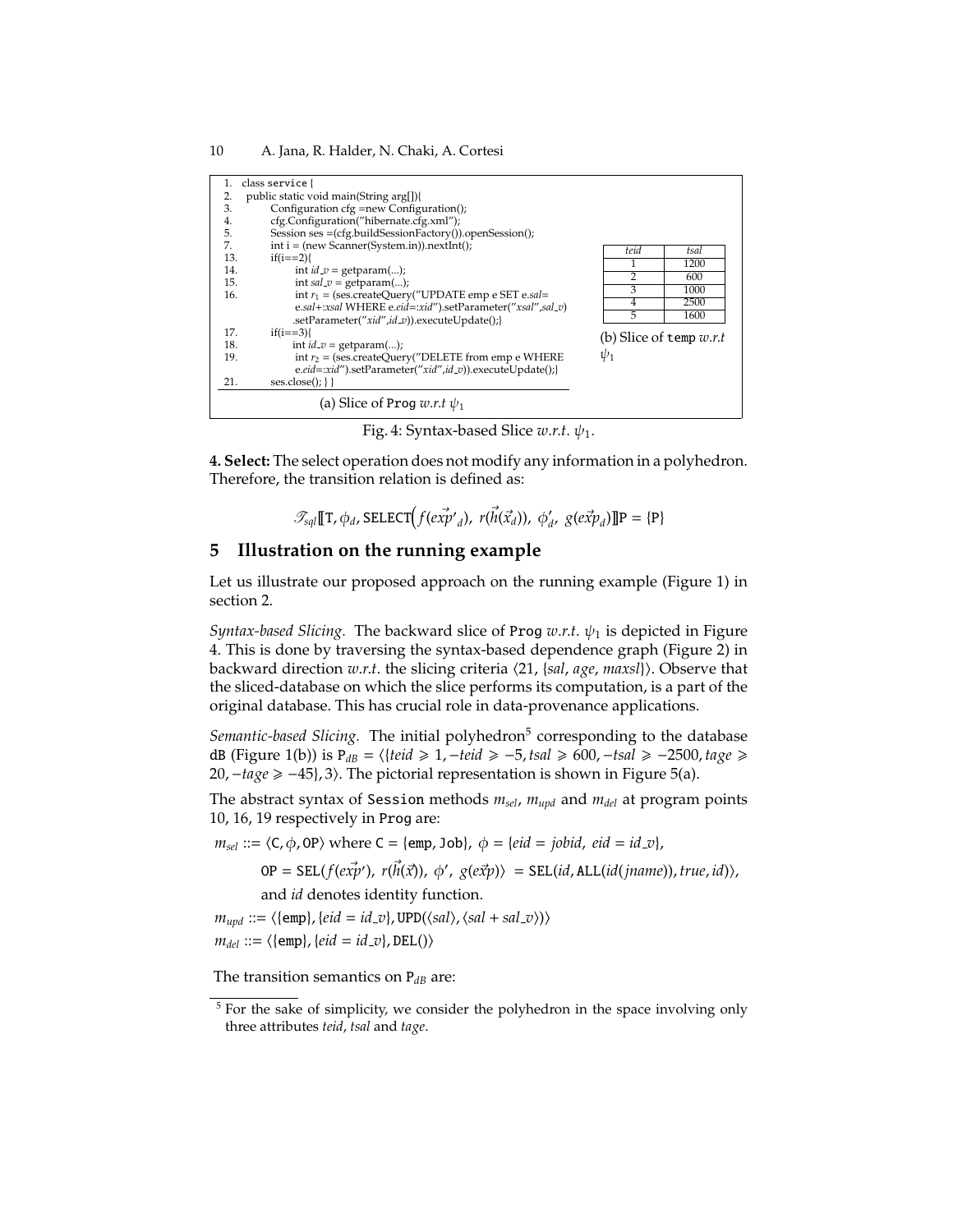| 1.  | class service {                                            |                           |  |  |  |  |  |
|-----|------------------------------------------------------------|---------------------------|--|--|--|--|--|
|     | public static void main(String arg[]){<br>2.               |                           |  |  |  |  |  |
| 3.  | Configuration cfg =new Configuration();                    |                           |  |  |  |  |  |
| 4.  | cfg.Configuration("hibernate.cfg.xml");                    |                           |  |  |  |  |  |
| 5.  | Session ses $=(cfg.buildSessionFactory())$ .openSession(); |                           |  |  |  |  |  |
| 7.  | $int i = (new Scanner(System.in)).nextInt();$              | teid<br>tsal              |  |  |  |  |  |
| 13. | $if(i == 2)$                                               | 1200                      |  |  |  |  |  |
| 14. | int $id_v = getparam();$                                   | 2<br>600                  |  |  |  |  |  |
| 15. | int $sal_v = getparam();$                                  | 3<br>1000                 |  |  |  |  |  |
| 16. | int $r_1$ = (ses.createQuery("UPDATE emp e SET e.sal=      | 2500<br>4                 |  |  |  |  |  |
|     | e.sal+:xsal WHERE e.eid=:xid").setParameter("xsal",sal_v)  |                           |  |  |  |  |  |
|     | .setParameter("xid",id_v)).executeUpdate();}               | 5<br>1600                 |  |  |  |  |  |
| 17. | $if(i == 3)$                                               | (b) Slice of temp $w.r.t$ |  |  |  |  |  |
| 18. | int $id_v = getparam();$                                   |                           |  |  |  |  |  |
| 19. | int $r_2$ = (ses.createQuery("DELETE from emp e WHERE      | $\psi_1$                  |  |  |  |  |  |
|     | e.eid=:xid").setParameter("xid",id_v)).executeUpdate();}   |                           |  |  |  |  |  |
| 21. | $ses.close():$ }}                                          |                           |  |  |  |  |  |
|     | (a) Slice of Prog $w.r.t \psi_1$                           |                           |  |  |  |  |  |

Fig. 4: Syntax-based Slice  $w.r.t. \psi_1$ .

**4. Select:** The select operation does not modify any information in a polyhedron. Therefore, the transition relation is defined as:

$$
\mathcal{T}_{\text{sql}}[\![\mathbf{T},\phi_d,\text{SELECT}\!(f(\vec{\text{exp}}'_{d}),\ \vec{r(\vec{\text{h}}(\vec{x}_d)}),\ \phi'_d,\ g(\vec{\text{exp}}_d)\!]\!] \mathbf{P} = \{\mathbf{P}\}\
$$

## **5 Illustration on the running example**

Let us illustrate our proposed approach on the running example (Figure 1) in section 2.

*Syntax-based Slicing.* The backward slice of Prog  $w.r.t. \psi_1$  is depicted in Figure 4. This is done by traversing the syntax-based dependence graph (Figure 2) in backward direction *w.r.t*. the slicing criteria  $\langle 21, {sal, age, maxsl} \rangle$ . Observe that the sliced-database on which the slice performs its computation, is a part of the original database. This has crucial role in data-provenance applications.

Semantic-based Slicing. The initial polyhedron<sup>5</sup> corresponding to the database dB (Figure 1(b)) is P*dB* = h{*teid* > 1,−*teid* > −5, *tsal* > 600,−*tsal* > −2500, *tage* > 20, -tage ≥ -45}, 3). The pictorial representation is shown in Figure 5(a).

The abstract syntax of Session methods *msel*, *mupd* and *mdel* at program points 10, 16, 19 respectively in Prog are:

 $m_{sel} ::= \langle C, \phi, \text{OP} \rangle$  where  $C = \{\text{emp}, \text{Job}\}, \phi = \{eid = jobid, \text{eid} = id\_v\},$ 

 $OP = SEL(f(ex\vec{p}'), r(\vec{h}(\vec{x})), \phi', g(e\vec{x}p) \rangle = SEL(id, ALL(id(jname)), true, id) \rangle,$ 

and *id* denotes identity function.

 $m_{upd} ::= \langle \{emp\}, \{eid = id_v\}, \text{UPD}(\langle sal \rangle, \langle sal + sal_v\rangle) \rangle$  $m_{del} ::= \langle \{\text{emp}\}, \{eid = id_v\}, \text{DEL}(\rangle \rangle)$ 

The transition semantics on  $P_{dB}$  are:

<sup>&</sup>lt;sup>5</sup> For the sake of simplicity, we consider the polyhedron in the space involving only three attributes *teid*, *tsal* and *tage*.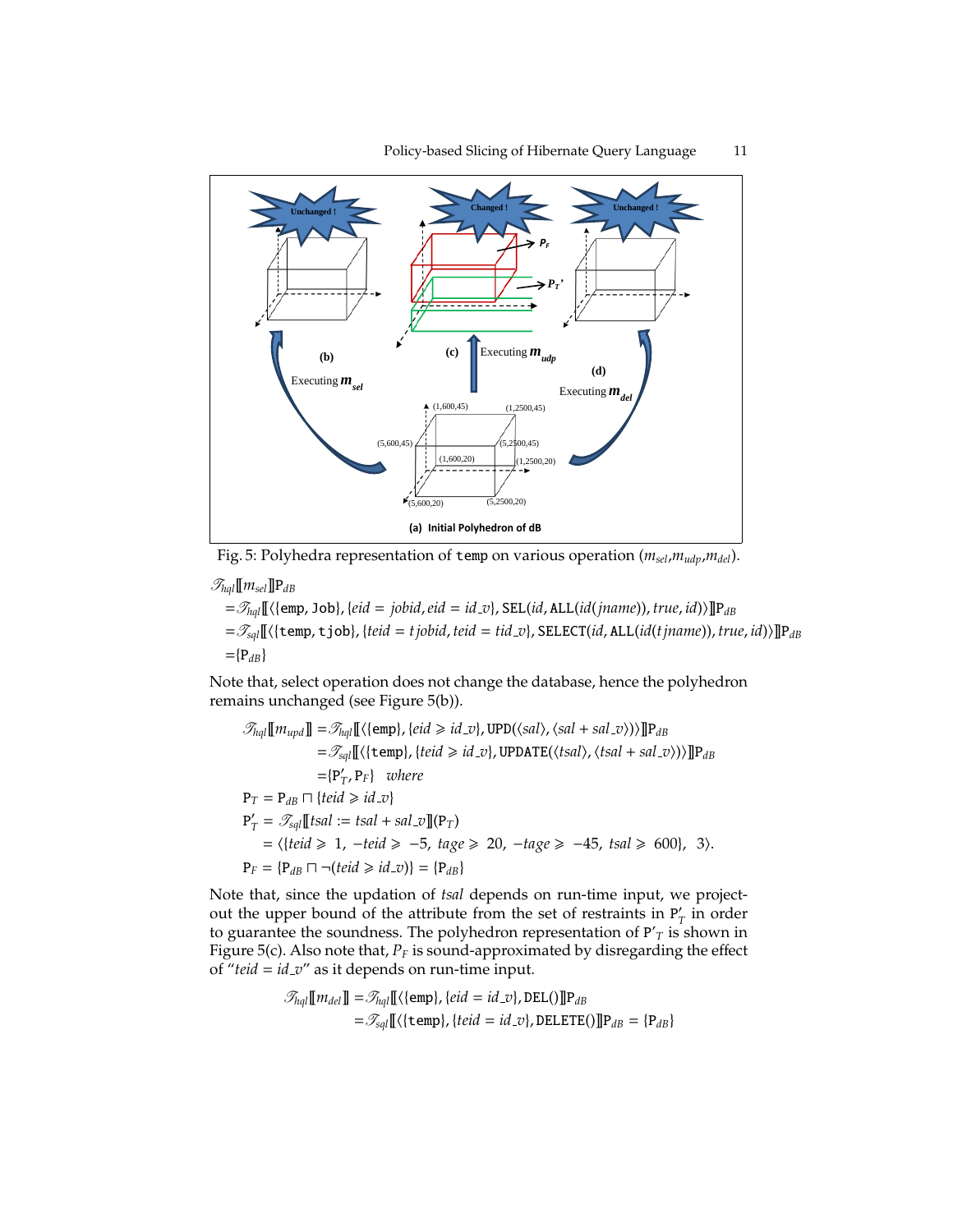

Fig. 5: Polyhedra representation of temp on various operation (*msel*,*mudp*,*mdel*).

 $\mathscr{T}_{hql}$ [ $[m_{sel}]$ ] $P_{dB}$  $=\mathcal{T}_{hqI}[\Gamma(\{emp, Job\}, \{eid = jobid, \text{eid} = id_v\}, \text{SEL}(id, ALL(id(jname)), \text{true}, id))]\mathbb{P}_{dB}$ =T*sql*[[h{temp, tjob}, {*teid* = *tjobid*, *teid* = *tid v*}, SELECT(*id*, ALL(*id*(*tjname*)), *true*, *id*)i]]P*dB*  $=$ { $P_{dB}$ }

Note that, select operation does not change the database, hence the polyhedron remains unchanged (see Figure 5(b)).

$$
\mathcal{F}_{hql}[\![m_{upd}]\!] = \mathcal{F}_{hql}[\![\langle \{\text{emp}\}, \{eid \ge id\_v\}, \text{UPD}(\langle sal \rangle, \langle sal + sal\_v \rangle) \rangle] \!] \mathbf{P}_{dB}
$$
\n
$$
= \mathcal{F}_{sql}[\![\langle \{\text{temp}\}, \{teid \ge id\_v\}, \text{UPDATE}(\langle tsal \rangle, \langle tsal + sal\_v \rangle) \rangle] \!] \mathbf{P}_{dB}
$$
\n
$$
= \{\mathbf{P}'_T, \mathbf{P}_F\} \quad where
$$
\n
$$
\mathbf{P}_T = \mathbf{P}_{dB} \sqcap \{teid \ge id\_v\}
$$
\n
$$
\mathbf{P}'_T = \mathcal{F}_{sql}[\![\{tsal := tsal + sal\_v\}]\!] (\mathbf{P}_T)
$$
\n
$$
= \langle \{teid \ge 1, -teid \ge -5, \, tag \ge 20, -tage \ge -45, \, tsal \ge 600\}, \, 3 \rangle.
$$
\n
$$
\mathbf{P}_F = \{\mathbf{P}_{dB} \sqcap \neg (teid \ge id\_v)\} = \{\mathbf{P}_{dB}\}
$$

Note that, since the updation of *tsal* depends on run-time input, we projectout the upper bound of the attribute from the set of restraints in  $P'_1$  $T$ <sup>*I*</sup> in order to guarantee the soundness. The polyhedron representation of P'*<sup>T</sup>* is shown in Figure 5(c). Also note that,  $P_F$  is sound-approximated by disregarding the effect of " $teid = id_v$ " as it depends on run-time input.

$$
\mathcal{T}_{hql}[\![m_{del}]\!] = \mathcal{T}_{hql}[\![\langle \{\text{emp}\}, \{eid = id\_v\}, \text{DEL}()]\!] \mathbf{P}_{dB}
$$

$$
= \mathcal{T}_{sql}[\![\langle \{\text{temp}\}, \{teid = id\_v\}, \text{DELETE}()]\!] \mathbf{P}_{dB} = \{\mathbf{P}_{dB}\}
$$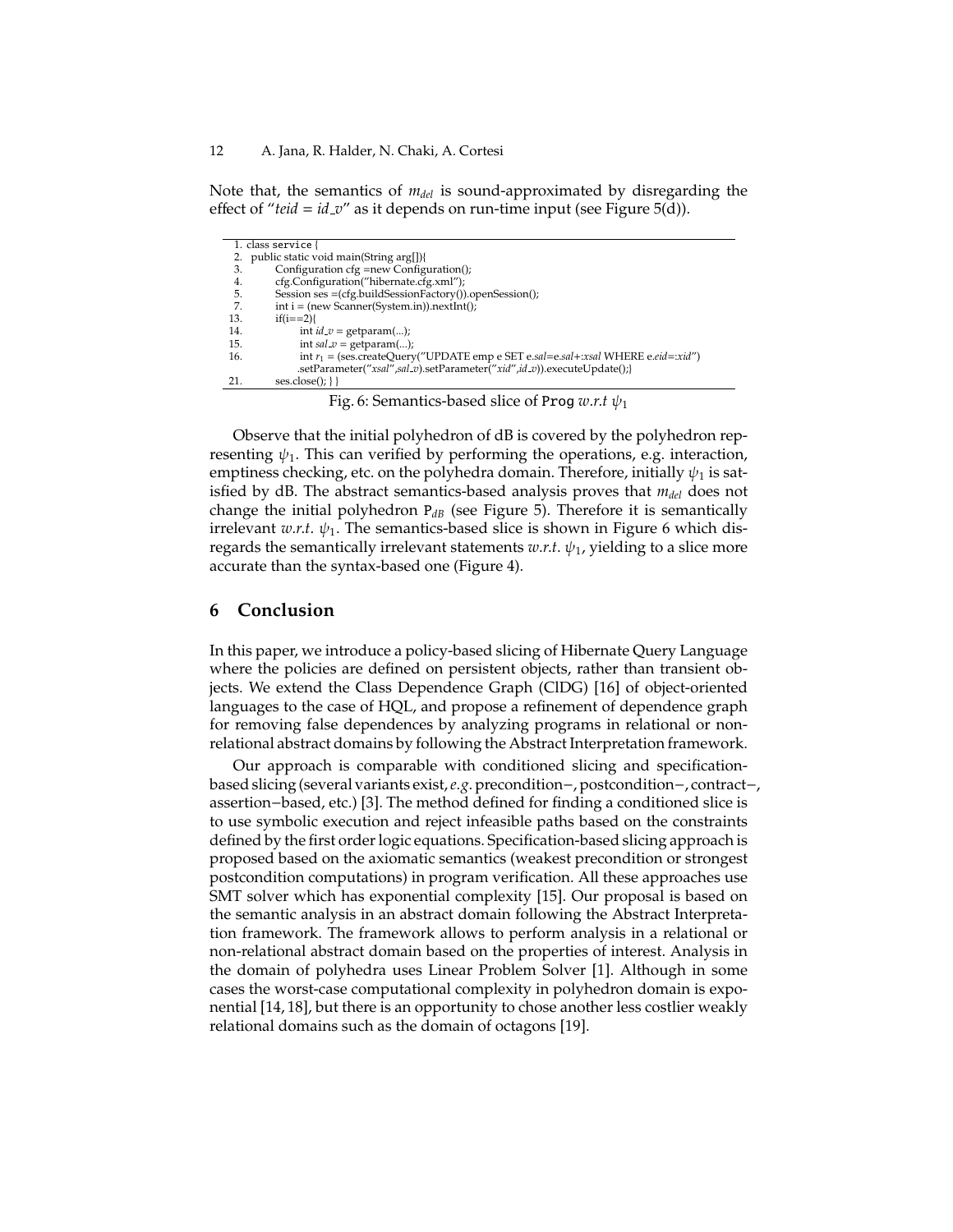Note that, the semantics of *mdel* is sound-approximated by disregarding the effect of "*teid* = *id v*" as it depends on run-time input (see Figure 5(d)).

|     | 1. class service {                                                                  |
|-----|-------------------------------------------------------------------------------------|
|     | public static void main(String arg[]){                                              |
| 3.  | Configuration cfg =new Configuration();                                             |
| 4.  | cfg.Configuration("hibernate.cfg.xml");                                             |
| 5.  | Session ses = (cfg.buildSessionFactory()).openSession();                            |
| 7.  | $int i = (new Scanner(System.in)).nextInt()$ ;                                      |
| 13. | $if(i == 2)$                                                                        |
| 14. | int $id_v = getparam();$                                                            |
| 15. | int $sal_v = getparam();$                                                           |
| 16. | int $r_1$ = (ses.createQuery("UPDATE emp e SET e.sal=e.sal+:xsal WHERE e.eid=:xid") |
|     | .setParameter("xsal",sal_v).setParameter("xid",id_v)).executeUpdate();}             |
| 21. | $ses.close():$ }}                                                                   |
|     |                                                                                     |

Fig. 6: Semantics-based slice of Prog  $w.r.t \psi_1$ 

Observe that the initial polyhedron of dB is covered by the polyhedron representing  $\psi_1$ . This can verified by performing the operations, e.g. interaction, emptiness checking, etc. on the polyhedra domain. Therefore, initially  $\psi_1$  is satisfied by dB. The abstract semantics-based analysis proves that *mdel* does not change the initial polyhedron P*dB* (see Figure 5). Therefore it is semantically irrelevant *w.r.t.*  $\psi_1$ . The semantics-based slice is shown in Figure 6 which disregards the semantically irrelevant statements  $w.r.t. \psi_1$ , yielding to a slice more accurate than the syntax-based one (Figure 4).

#### **6 Conclusion**

In this paper, we introduce a policy-based slicing of Hibernate Query Language where the policies are defined on persistent objects, rather than transient objects. We extend the Class Dependence Graph (ClDG) [16] of object-oriented languages to the case of HQL, and propose a refinement of dependence graph for removing false dependences by analyzing programs in relational or nonrelational abstract domains by following the Abstract Interpretation framework.

Our approach is comparable with conditioned slicing and specificationbased slicing (several variants exist,*e*.*g*.precondition−, postcondition−, contract−, assertion−based, etc.) [3]. The method defined for finding a conditioned slice is to use symbolic execution and reject infeasible paths based on the constraints defined by the first order logic equations. Specification-based slicing approach is proposed based on the axiomatic semantics (weakest precondition or strongest postcondition computations) in program verification. All these approaches use SMT solver which has exponential complexity [15]. Our proposal is based on the semantic analysis in an abstract domain following the Abstract Interpretation framework. The framework allows to perform analysis in a relational or non-relational abstract domain based on the properties of interest. Analysis in the domain of polyhedra uses Linear Problem Solver [1]. Although in some cases the worst-case computational complexity in polyhedron domain is exponential [14, 18], but there is an opportunity to chose another less costlier weakly relational domains such as the domain of octagons [19].